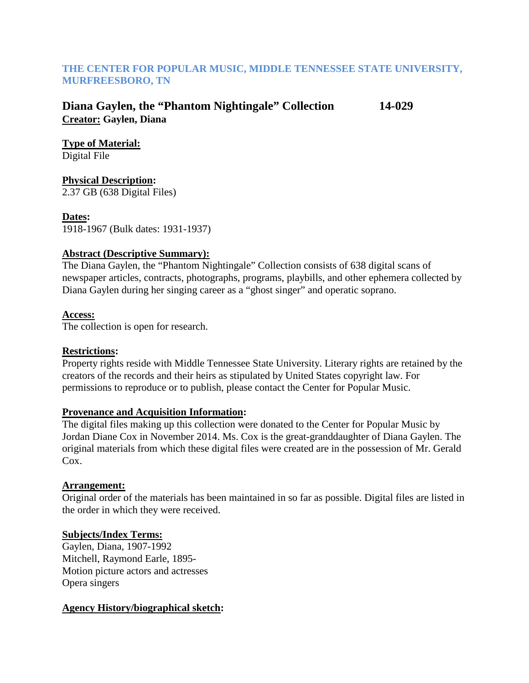### **THE CENTER FOR POPULAR MUSIC, MIDDLE TENNESSEE STATE UNIVERSITY, MURFREESBORO, TN**

### **Diana Gaylen, the "Phantom Nightingale" Collection 14-029 Creator: Gaylen, Diana**

**Type of Material:**

Digital File

# **Physical Description:**

2.37 GB (638 Digital Files)

### **Dates:**

1918-1967 (Bulk dates: 1931-1937)

### **Abstract (Descriptive Summary):**

The Diana Gaylen, the "Phantom Nightingale" Collection consists of 638 digital scans of newspaper articles, contracts, photographs, programs, playbills, and other ephemera collected by Diana Gaylen during her singing career as a "ghost singer" and operatic soprano.

### **Access:**

The collection is open for research.

### **Restrictions:**

Property rights reside with Middle Tennessee State University. Literary rights are retained by the creators of the records and their heirs as stipulated by United States copyright law. For permissions to reproduce or to publish, please contact the Center for Popular Music.

### **Provenance and Acquisition Information:**

The digital files making up this collection were donated to the Center for Popular Music by Jordan Diane Cox in November 2014. Ms. Cox is the great-granddaughter of Diana Gaylen. The original materials from which these digital files were created are in the possession of Mr. Gerald Cox.

## **Arrangement:**

Original order of the materials has been maintained in so far as possible. Digital files are listed in the order in which they were received.

## **Subjects/Index Terms:**

Gaylen, Diana, 1907-1992 Mitchell, Raymond Earle, 1895- Motion picture actors and actresses Opera singers

### **Agency History/biographical sketch:**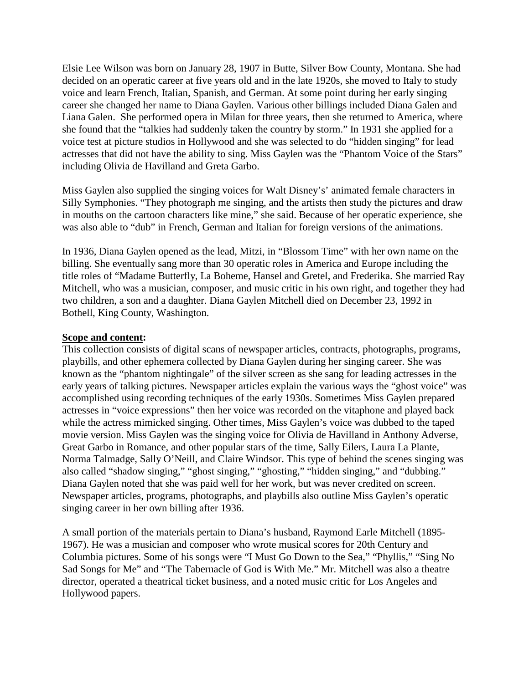Elsie Lee Wilson was born on January 28, 1907 in Butte, Silver Bow County, Montana. She had decided on an operatic career at five years old and in the late 1920s, she moved to Italy to study voice and learn French, Italian, Spanish, and German. At some point during her early singing career she changed her name to Diana Gaylen. Various other billings included Diana Galen and Liana Galen. She performed opera in Milan for three years, then she returned to America, where she found that the "talkies had suddenly taken the country by storm." In 1931 she applied for a voice test at picture studios in Hollywood and she was selected to do "hidden singing" for lead actresses that did not have the ability to sing. Miss Gaylen was the "Phantom Voice of the Stars" including Olivia de Havilland and Greta Garbo.

Miss Gaylen also supplied the singing voices for Walt Disney's' animated female characters in Silly Symphonies. "They photograph me singing, and the artists then study the pictures and draw in mouths on the cartoon characters like mine," she said. Because of her operatic experience, she was also able to "dub" in French, German and Italian for foreign versions of the animations.

In 1936, Diana Gaylen opened as the lead, Mitzi, in "Blossom Time" with her own name on the billing. She eventually sang more than 30 operatic roles in America and Europe including the title roles of "Madame Butterfly, La Boheme, Hansel and Gretel, and Frederika. She married Ray Mitchell, who was a musician, composer, and music critic in his own right, and together they had two children, a son and a daughter. Diana Gaylen Mitchell died on December 23, 1992 in Bothell, King County, Washington.

#### **Scope and content:**

This collection consists of digital scans of newspaper articles, contracts, photographs, programs, playbills, and other ephemera collected by Diana Gaylen during her singing career. She was known as the "phantom nightingale" of the silver screen as she sang for leading actresses in the early years of talking pictures. Newspaper articles explain the various ways the "ghost voice" was accomplished using recording techniques of the early 1930s. Sometimes Miss Gaylen prepared actresses in "voice expressions" then her voice was recorded on the vitaphone and played back while the actress mimicked singing. Other times, Miss Gaylen's voice was dubbed to the taped movie version. Miss Gaylen was the singing voice for Olivia de Havilland in Anthony Adverse, Great Garbo in Romance, and other popular stars of the time, Sally Eilers, Laura La Plante, Norma Talmadge, Sally O'Neill, and Claire Windsor. This type of behind the scenes singing was also called "shadow singing," "ghost singing," "ghosting," "hidden singing," and "dubbing." Diana Gaylen noted that she was paid well for her work, but was never credited on screen. Newspaper articles, programs, photographs, and playbills also outline Miss Gaylen's operatic singing career in her own billing after 1936.

A small portion of the materials pertain to Diana's husband, Raymond Earle Mitchell (1895- 1967). He was a musician and composer who wrote musical scores for 20th Century and Columbia pictures. Some of his songs were "I Must Go Down to the Sea," "Phyllis," "Sing No Sad Songs for Me" and "The Tabernacle of God is With Me." Mr. Mitchell was also a theatre director, operated a theatrical ticket business, and a noted music critic for Los Angeles and Hollywood papers.